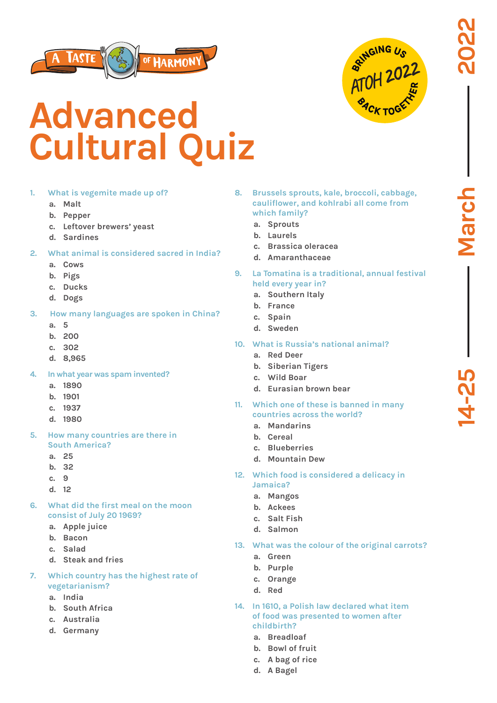



## **Advanced Cultural Quiz**

## **1. What is vegemite made up of?**

- **a. Malt**
- **b. Pepper**
- **c. Leftover brewers' yeast**
- **d. Sardines**
- **2. What animal is considered sacred in India?**
	- **a. Cows**
	- **b. Pigs**
	- **c. Ducks**
	- **d. Dogs**
- **3. How many languages are spoken in China?**
	- **a. 5**
	- **b. 200**
	- **c. 302**
	- **d. 8,965**
- **4. In what year was spam invented?**
	- **a. 1890**
	- **b. 1901**
	- **c. 1937**
	- **d. 1980**
- **5. How many countries are there in South America?**
	- **a. 25**
	- **b. 32**
	- **c. 9**
	- **d. 12**
- **6. What did the first meal on the moon consist of July 20 1969?**
	- **a. Apple juice**
	- **b. Bacon**
	- **c. Salad**
	- **d. Steak and fries**
- **7. Which country has the highest rate of vegetarianism?**
	- **a. India**
	- **b. South Africa**
	- **c. Australia**
	- **d. Germany**
- **8. Brussels sprouts, kale, broccoli, cabbage, cauliflower, and kohlrabi all come from which family?**
	- **a. Sprouts**
	- **b. Laurels**
	- **c. Brassica oleracea**
	- **d. Amaranthaceae**
- **9. La Tomatina is a traditional, annual festival held every year in?**
	- **a. Southern Italy**
	- **b. France**
	- **c. Spain**
	- **d. Sweden**
- **10. What is Russia's national animal?**
	- **a. Red Deer**
	- **b. Siberian Tigers**
	- **c. Wild Boar**
	- **d. Eurasian brown bear**
- **11. Which one of these is banned in many countries across the world?**
	- **a. Mandarins**
	- **b. Cereal**
	- **c. Blueberries**
	- **d. Mountain Dew**
- **12. Which food is considered a delicacy in Jamaica?**
	- **a. Mangos**
	- **b. Ackees**
	- **c. Salt Fish**
	- **d. Salmon**
- **13. What was the colour of the original carrots?**
	- **a. Green**
	- **b. Purple**
	- **c. Orange**
	- **d. Red**
- **14. In 1610, a Polish law declared what item of food was presented to women after childbirth?**
	- **a. Breadloaf**
	- **b. Bowl of fruit**
	- **c. A bag of rice**
	- **d. A Bagel**